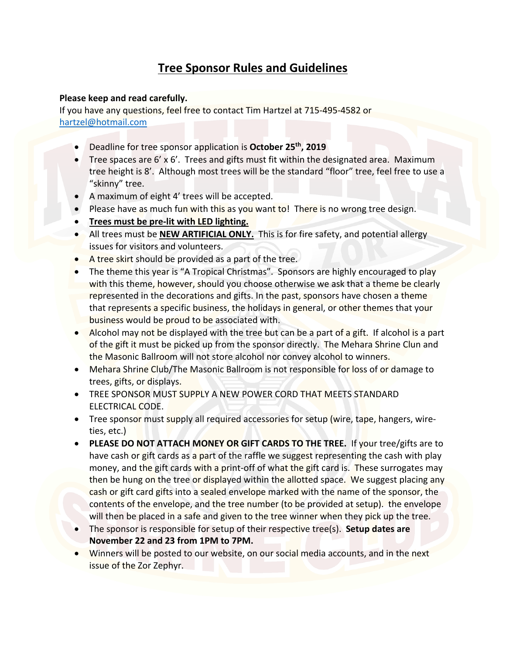## **Tree Sponsor Rules and Guidelines**

## **Please keep and read carefully.**

If you have any questions, feel free to contact Tim Hartzel at 715-495-4582 or hartzel@hotmail.com

- Deadline for tree sponsor application is **October 25th, 2019**
- Tree spaces are 6' x 6'. Trees and gifts must fit within the designated area. Maximum tree height is 8'. Although most trees will be the standard "floor" tree, feel free to use a "skinny" tree.
- A maximum of eight 4' trees will be accepted.
- Please have as much fun with this as you want to! There is no wrong tree design.
- **Trees must be pre-lit with LED lighting.**
- All trees must be **NEW ARTIFICIAL ONLY.** This is for fire safety, and potential allergy issues for visitors and volunteers.
- A tree skirt should be provided as a part of the tree.
- The theme this year is "A Tropical Christmas". Sponsors are highly encouraged to play with this theme, however, should you choose otherwise we ask that a theme be clearly represented in the decorations and gifts. In the past, sponsors have chosen a theme that represents a specific business, the holidays in general, or other themes that your business would be proud to be associated with.
- Alcohol may not be displayed with the tree but can be a part of a gift. If alcohol is a part of the gift it must be picked up from the sponsor directly. The Mehara Shrine Clun and the Masonic Ballroom will not store alcohol nor convey alcohol to winners.
- Mehara Shrine Club/The Masonic Ballroom is not responsible for loss of or damage to trees, gifts, or displays.
- TREE SPONSOR MUST SUPPLY A NEW POWER CORD THAT MEETS STANDARD ELECTRICAL CODE.
- Tree sponsor must supply all required accessories for setup (wire, tape, hangers, wireties, etc.)
- **PLEASE DO NOT ATTACH MONEY OR GIFT CARDS TO THE TREE.** If your tree/gifts are to have cash or gift cards as a part of the raffle we suggest representing the cash with play money, and the gift cards with a print-off of what the gift card is. These surrogates may then be hung on the tree or displayed within the allotted space. We suggest placing any cash or gift card gifts into a sealed envelope marked with the name of the sponsor, the contents of the envelope, and the tree number (to be provided at setup). the envelope will then be placed in a safe and given to the tree winner when they pick up the tree.
- The sponsor is responsible for setup of their respective tree(s). **Setup dates are November 22 and 23 from 1PM to 7PM.**
- Winners will be posted to our website, on our social media accounts, and in the next issue of the Zor Zephyr.